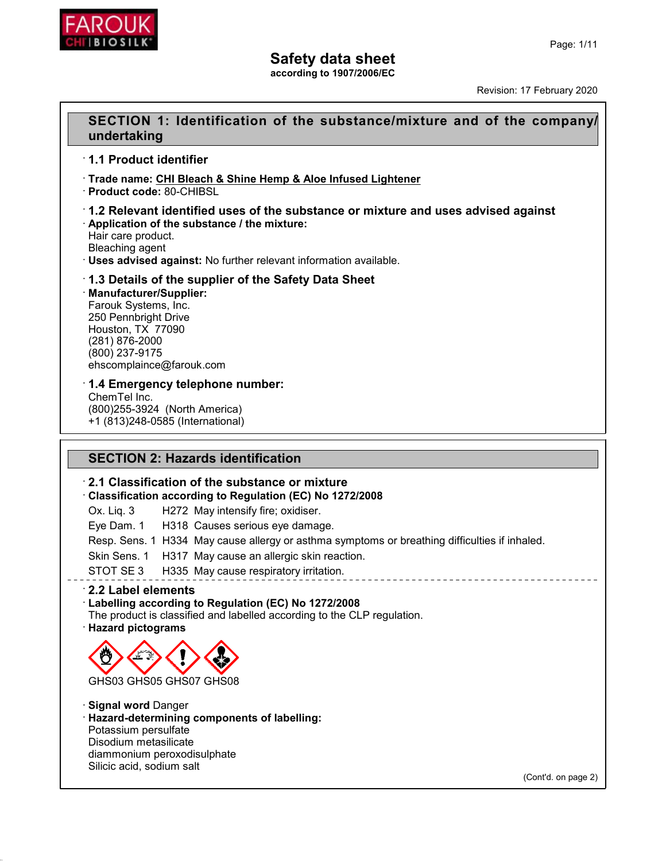

**according to 1907/2006/EC**

Revision: 17 February 2020

## **SECTION 1: Identification of the substance/mixture and of the company/ undertaking**

### · **1.1 Product identifier**

- · **Trade name: CHI Bleach & Shine Hemp & Aloe Infused Lightener**
- · **Product code:** 80-CHIBSL

#### · **1.2 Relevant identified uses of the substance or mixture and uses advised against** · **Application of the substance / the mixture:**

Hair care product.

Bleaching agent

· **Uses advised against:** No further relevant information available.

### · **1.3 Details of the supplier of the Safety Data Sheet**

#### · **Manufacturer/Supplier:**

Farouk Systems, Inc. 250 Pennbright Drive Houston, TX 77090 (281) 876-2000 (800) 237-9175 ehscomplaince@farouk.com

### · **1.4 Emergency telephone number:**

ChemTel Inc. (800)255-3924 (North America) +1 (813)248-0585 (International)

## **SECTION 2: Hazards identification**

### · **2.1 Classification of the substance or mixture**

· **Classification according to Regulation (EC) No 1272/2008**

Ox. Liq. 3 H272 May intensify fire; oxidiser.

Eye Dam. 1 H318 Causes serious eye damage.

Resp. Sens. 1 H334 May cause allergy or asthma symptoms or breathing difficulties if inhaled.

- Skin Sens. 1 H317 May cause an allergic skin reaction.
- STOT SE 3 H335 May cause respiratory irritation.

## · **2.2 Label elements**

### · **Labelling according to Regulation (EC) No 1272/2008**

The product is classified and labelled according to the CLP regulation. · **Hazard pictograms**



· **Signal word** Danger · **Hazard-determining components of labelling:** Potassium persulfate Disodium metasilicate diammonium peroxodisulphate Silicic acid, sodium salt

(Cont'd. on page 2)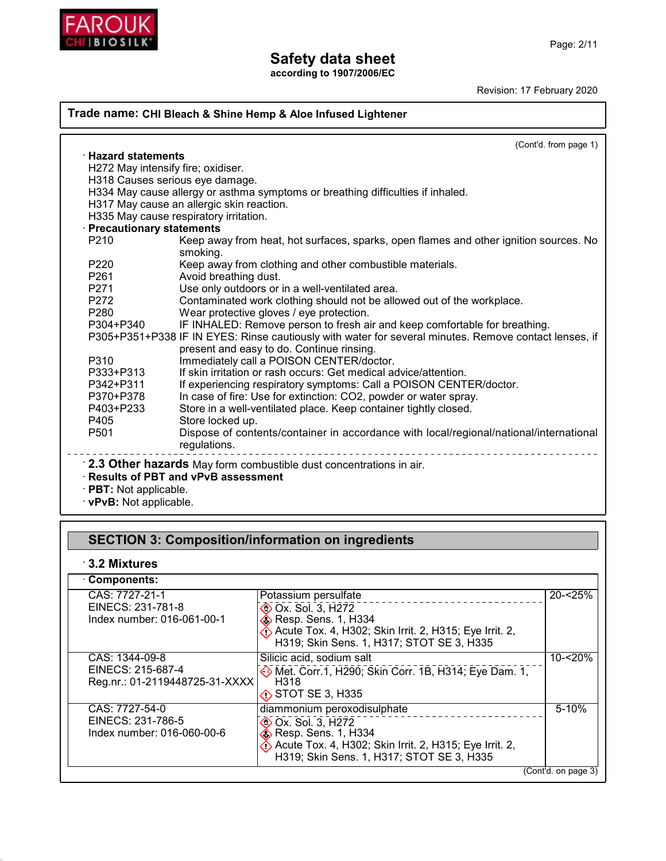

**according to 1907/2006/EC**

Revision: 17 February 2020

### **Trade name: CHI Bleach & Shine Hemp & Aloe Infused Lightener**

| $\cdot$ Hazard statements<br>H272 May intensify fire; oxidiser.<br>H318 Causes serious eye damage.<br>H334 May cause allergy or asthma symptoms or breathing difficulties if inhaled.<br>H317 May cause an allergic skin reaction.<br>H335 May cause respiratory irritation.<br>· Precautionary statements<br>Keep away from heat, hot surfaces, sparks, open flames and other ignition sources. No<br>smoking.<br>Keep away from clothing and other combustible materials.<br>Avoid breathing dust.<br>Use only outdoors or in a well-ventilated area.<br>Contaminated work clothing should not be allowed out of the workplace. |
|-----------------------------------------------------------------------------------------------------------------------------------------------------------------------------------------------------------------------------------------------------------------------------------------------------------------------------------------------------------------------------------------------------------------------------------------------------------------------------------------------------------------------------------------------------------------------------------------------------------------------------------|
|                                                                                                                                                                                                                                                                                                                                                                                                                                                                                                                                                                                                                                   |
|                                                                                                                                                                                                                                                                                                                                                                                                                                                                                                                                                                                                                                   |
|                                                                                                                                                                                                                                                                                                                                                                                                                                                                                                                                                                                                                                   |
|                                                                                                                                                                                                                                                                                                                                                                                                                                                                                                                                                                                                                                   |
|                                                                                                                                                                                                                                                                                                                                                                                                                                                                                                                                                                                                                                   |
|                                                                                                                                                                                                                                                                                                                                                                                                                                                                                                                                                                                                                                   |
|                                                                                                                                                                                                                                                                                                                                                                                                                                                                                                                                                                                                                                   |
|                                                                                                                                                                                                                                                                                                                                                                                                                                                                                                                                                                                                                                   |
|                                                                                                                                                                                                                                                                                                                                                                                                                                                                                                                                                                                                                                   |
|                                                                                                                                                                                                                                                                                                                                                                                                                                                                                                                                                                                                                                   |
|                                                                                                                                                                                                                                                                                                                                                                                                                                                                                                                                                                                                                                   |
|                                                                                                                                                                                                                                                                                                                                                                                                                                                                                                                                                                                                                                   |
| Wear protective gloves / eye protection.                                                                                                                                                                                                                                                                                                                                                                                                                                                                                                                                                                                          |
| IF INHALED: Remove person to fresh air and keep comfortable for breathing.                                                                                                                                                                                                                                                                                                                                                                                                                                                                                                                                                        |
| P305+P351+P338 IF IN EYES: Rinse cautiously with water for several minutes. Remove contact lenses, if                                                                                                                                                                                                                                                                                                                                                                                                                                                                                                                             |
| present and easy to do. Continue rinsing.                                                                                                                                                                                                                                                                                                                                                                                                                                                                                                                                                                                         |
| Immediately call a POISON CENTER/doctor.                                                                                                                                                                                                                                                                                                                                                                                                                                                                                                                                                                                          |
| If skin irritation or rash occurs: Get medical advice/attention.                                                                                                                                                                                                                                                                                                                                                                                                                                                                                                                                                                  |
| If experiencing respiratory symptoms: Call a POISON CENTER/doctor.                                                                                                                                                                                                                                                                                                                                                                                                                                                                                                                                                                |
| In case of fire: Use for extinction: CO2, powder or water spray.                                                                                                                                                                                                                                                                                                                                                                                                                                                                                                                                                                  |
| Store in a well-ventilated place. Keep container tightly closed.                                                                                                                                                                                                                                                                                                                                                                                                                                                                                                                                                                  |
| Store locked up.                                                                                                                                                                                                                                                                                                                                                                                                                                                                                                                                                                                                                  |
| Dispose of contents/container in accordance with local/regional/national/international<br>regulations.                                                                                                                                                                                                                                                                                                                                                                                                                                                                                                                            |
| 2.3 Other hazards May form combustible dust concentrations in air.<br>· Results of PBT and vPvB assessment                                                                                                                                                                                                                                                                                                                                                                                                                                                                                                                        |
| $\cdot$ PBT: Not applicable.<br>$\cdot$ vPvB: Not applicable.                                                                                                                                                                                                                                                                                                                                                                                                                                                                                                                                                                     |

# **SECTION 3: Composition/information on ingredients**

## · **3.2 Mixtures**

| <b>Components:</b>                                                    |                                                                                                                                                                                                                              |                     |
|-----------------------------------------------------------------------|------------------------------------------------------------------------------------------------------------------------------------------------------------------------------------------------------------------------------|---------------------|
| CAS: 7727-21-1<br>EINECS: 231-781-8<br>Index number: 016-061-00-1     | Potassium persulfate<br><b>EXALTER OX. Sol. 3, H272</b><br>$\diamondsuit$ Resp. Sens. 1, H334<br>$\langle \cdot \rangle$ Acute Tox. 4, H302; Skin Irrit. 2, H315; Eye Irrit. 2,<br>H319; Skin Sens. 1, H317; STOT SE 3, H335 | $20 - 25%$          |
| CAS: 1344-09-8<br>EINECS: 215-687-4<br>Reg.nr.: 01-2119448725-31-XXXX | Silicic acid, sodium salt<br>Met. Corr.1, H290; Skin Corr. 1B, H314; Eye Dam. 1,<br>H318<br>$\diamond$ STOT SE 3, H335                                                                                                       | $10 - 20%$          |
| CAS: 7727-54-0<br>EINECS: 231-786-5<br>Index number: 016-060-00-6     | diammonium peroxodisulphate<br><b>EXALCOX.</b> Sol. 3, H272<br>$\hat{\textbf{S}}$ Resp. Sens. 1, H334<br>$\diamondsuit$ Acute Tox. 4, H302; Skin Irrit. 2, H315; Eye Irrit. 2,<br>H319; Skin Sens. 1, H317; STOT SE 3, H335  | $5 - 10%$           |
|                                                                       |                                                                                                                                                                                                                              | (Cont'd. on page 3) |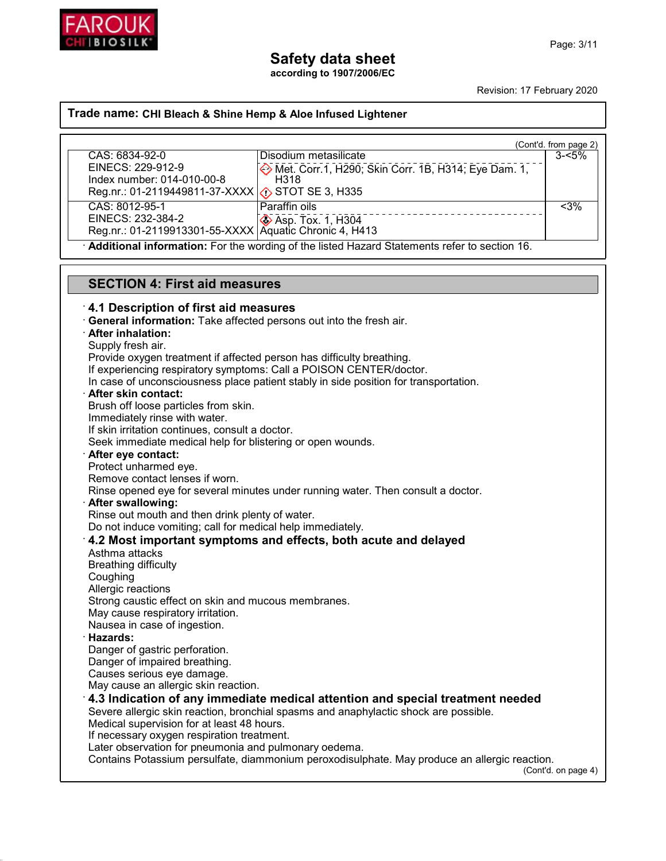

**according to 1907/2006/EC**

Revision: 17 February 2020

#### **Trade name: CHI Bleach & Shine Hemp & Aloe Infused Lightener**

|                                                                                              |                                                                        | (Cont'd. from page 2) |
|----------------------------------------------------------------------------------------------|------------------------------------------------------------------------|-----------------------|
| CAS: 6834-92-0                                                                               | Disodium metasilicate                                                  | $3 - 5\%$             |
| EINECS: 229-912-9                                                                            | <b>Example 20 Met. Corr. 1, H290; Skin Corr. 1B, H314; Eye Dam. 1,</b> |                       |
| Index number: 014-010-00-8                                                                   | H318                                                                   |                       |
| Reg.nr.: 01-2119449811-37-XXXX $\langle \cdot \rangle$ STOT SE 3, H335                       |                                                                        |                       |
| CAS: 8012-95-1                                                                               | Paraffin oils                                                          | $< 3\%$               |
|                                                                                              |                                                                        |                       |
| EINECS: 232-384-2<br>Reg.nr.: 01-2119913301-55-XXXX Aquatic Chronic 4, H413                  |                                                                        |                       |
| Additional information: For the wording of the listed Hazard Statements refer to section 16. |                                                                        |                       |

## **SECTION 4: First aid measures**

#### · **4.1 Description of first aid measures**

· **General information:** Take affected persons out into the fresh air.

#### · **After inhalation:**

Supply fresh air.

Provide oxygen treatment if affected person has difficulty breathing.

If experiencing respiratory symptoms: Call a POISON CENTER/doctor.

In case of unconsciousness place patient stably in side position for transportation.

#### · **After skin contact:**

Brush off loose particles from skin.

Immediately rinse with water.

If skin irritation continues, consult a doctor.

Seek immediate medical help for blistering or open wounds.

#### · **After eye contact:**

Protect unharmed eye.

Remove contact lenses if worn.

Rinse opened eye for several minutes under running water. Then consult a doctor.

#### · **After swallowing:**

Rinse out mouth and then drink plenty of water.

Do not induce vomiting; call for medical help immediately.

#### · **4.2 Most important symptoms and effects, both acute and delayed**

Asthma attacks Breathing difficulty Coughing Allergic reactions Strong caustic effect on skin and mucous membranes. May cause respiratory irritation. Nausea in case of ingestion.

#### · **Hazards:**

Danger of gastric perforation.

Danger of impaired breathing.

Causes serious eye damage.

May cause an allergic skin reaction.

## · **4.3 Indication of any immediate medical attention and special treatment needed**

Severe allergic skin reaction, bronchial spasms and anaphylactic shock are possible.

Medical supervision for at least 48 hours.

If necessary oxygen respiration treatment.

Later observation for pneumonia and pulmonary oedema.

Contains Potassium persulfate, diammonium peroxodisulphate. May produce an allergic reaction.

(Cont'd. on page 4)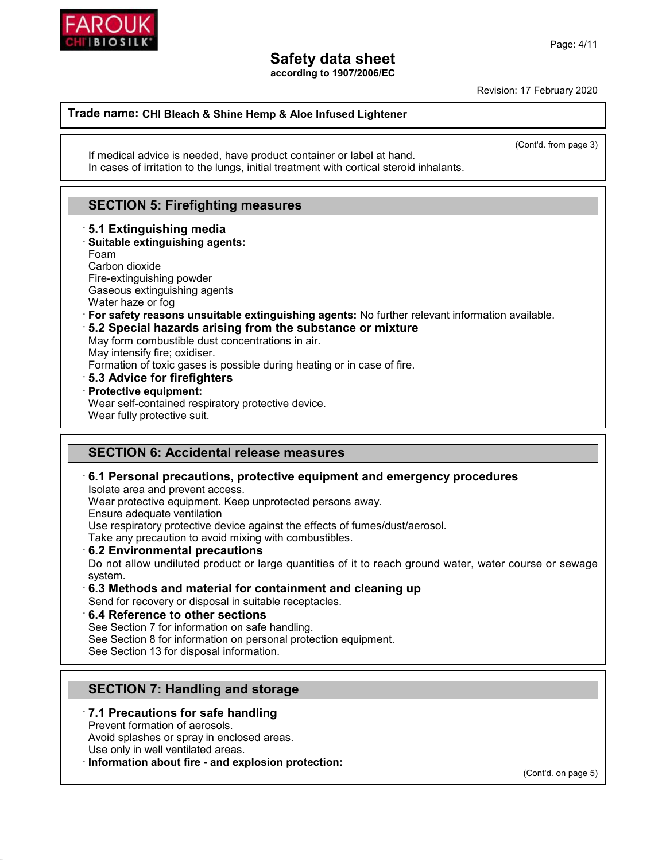

**according to 1907/2006/EC**

Revision: 17 February 2020

#### **Trade name: CHI Bleach & Shine Hemp & Aloe Infused Lightener**

(Cont'd. from page 3)

If medical advice is needed, have product container or label at hand. In cases of irritation to the lungs, initial treatment with cortical steroid inhalants.

## **SECTION 5: Firefighting measures**

· **5.1 Extinguishing media** · **Suitable extinguishing agents:** Foam Carbon dioxide Fire-extinguishing powder Gaseous extinguishing agents Water haze or fog · **For safety reasons unsuitable extinguishing agents:** No further relevant information available. · **5.2 Special hazards arising from the substance or mixture** May form combustible dust concentrations in air. May intensify fire; oxidiser. Formation of toxic gases is possible during heating or in case of fire. · **5.3 Advice for firefighters** · **Protective equipment:** Wear self-contained respiratory protective device. Wear fully protective suit.

## **SECTION 6: Accidental release measures**

#### · **6.1 Personal precautions, protective equipment and emergency procedures**

Isolate area and prevent access.

Wear protective equipment. Keep unprotected persons away.

Ensure adequate ventilation

Use respiratory protective device against the effects of fumes/dust/aerosol.

Take any precaution to avoid mixing with combustibles.

· **6.2 Environmental precautions**

Do not allow undiluted product or large quantities of it to reach ground water, water course or sewage system.

### · **6.3 Methods and material for containment and cleaning up**

Send for recovery or disposal in suitable receptacles.

#### · **6.4 Reference to other sections**

See Section 7 for information on safe handling.

See Section 8 for information on personal protection equipment.

See Section 13 for disposal information.

## **SECTION 7: Handling and storage**

### · **7.1 Precautions for safe handling**

Prevent formation of aerosols.

Avoid splashes or spray in enclosed areas.

Use only in well ventilated areas.

· **Information about fire - and explosion protection:**

(Cont'd. on page 5)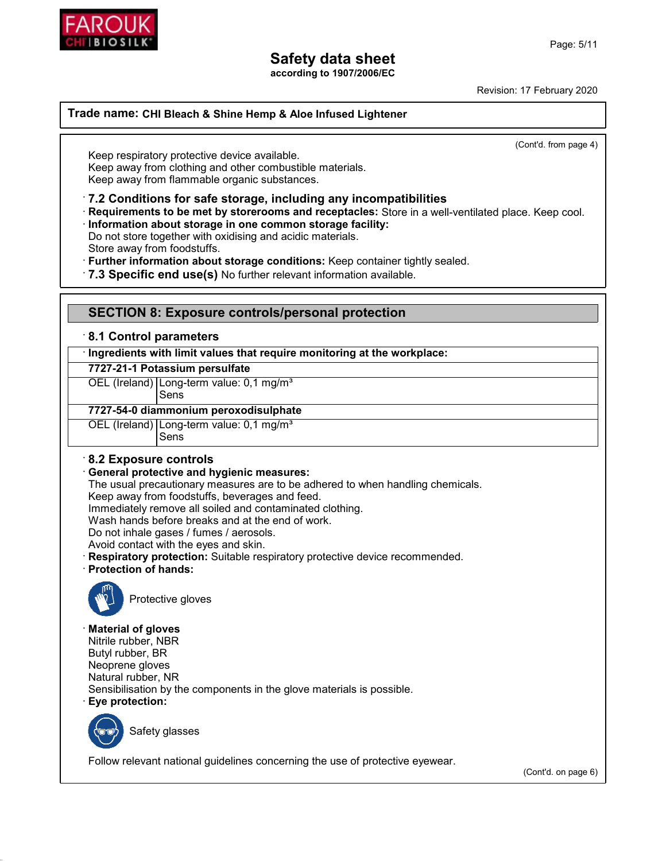

**according to 1907/2006/EC**

Revision: 17 February 2020

**Trade name: CHI Bleach & Shine Hemp & Aloe Infused Lightener**

(Cont'd. from page 4)

Keep respiratory protective device available. Keep away from clothing and other combustible materials. Keep away from flammable organic substances.

· **7.2 Conditions for safe storage, including any incompatibilities**

· **Requirements to be met by storerooms and receptacles:** Store in a well-ventilated place. Keep cool.

· **Information about storage in one common storage facility:**

Do not store together with oxidising and acidic materials.

Store away from foodstuffs.

· **Further information about storage conditions:** Keep container tightly sealed.

· **7.3 Specific end use(s)** No further relevant information available.

### **SECTION 8: Exposure controls/personal protection**

#### · **8.1 Control parameters**

· **Ingredients with limit values that require monitoring at the workplace:**

#### **7727-21-1 Potassium persulfate**

OEL (Ireland) Long-term value: 0,1 mg/m<sup>3</sup>

Sens

#### **7727-54-0 diammonium peroxodisulphate**

OEL (Ireland) Long-term value: 0,1 mg/m<sup>3</sup> Sens

### · **8.2 Exposure controls**

#### · **General protective and hygienic measures:**

The usual precautionary measures are to be adhered to when handling chemicals.

Keep away from foodstuffs, beverages and feed.

Immediately remove all soiled and contaminated clothing.

Wash hands before breaks and at the end of work.

Do not inhale gases / fumes / aerosols.

Avoid contact with the eyes and skin.

- · **Respiratory protection:** Suitable respiratory protective device recommended.
- · **Protection of hands:**



Protective gloves

#### · **Material of gloves**

Nitrile rubber, NBR Butyl rubber, BR Neoprene gloves Natural rubber, NR Sensibilisation by the components in the glove materials is possible. · **Eye protection:**



Safety glasses

Follow relevant national guidelines concerning the use of protective eyewear.

(Cont'd. on page 6)

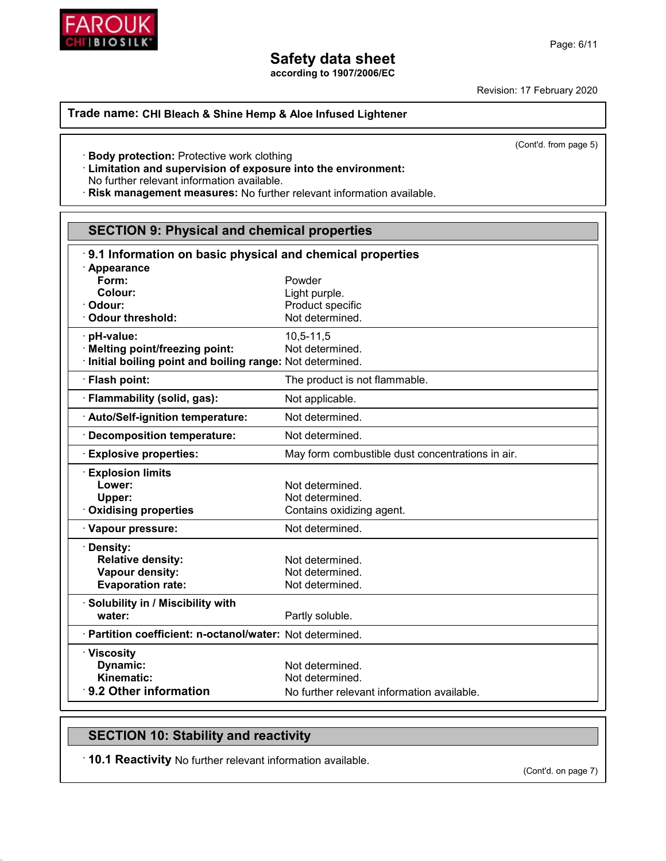

**according to 1907/2006/EC**

Revision: 17 February 2020

#### **Trade name: CHI Bleach & Shine Hemp & Aloe Infused Lightener**

(Cont'd. from page 5)

· **Body protection:** Protective work clothing

· **Limitation and supervision of exposure into the environment:**

No further relevant information available.

· **Risk management measures:** No further relevant information available.

| <b>SECTION 9: Physical and chemical properties</b>        |                                                  |  |
|-----------------------------------------------------------|--------------------------------------------------|--|
| 9.1 Information on basic physical and chemical properties |                                                  |  |
| · Appearance                                              |                                                  |  |
| Form:                                                     | Powder                                           |  |
| Colour:                                                   | Light purple.                                    |  |
| Odour:                                                    | Product specific                                 |  |
| · Odour threshold:                                        | Not determined.                                  |  |
| · pH-value:                                               | $10, 5 - 11, 5$                                  |  |
| · Melting point/freezing point:                           | Not determined.                                  |  |
| Initial boiling point and boiling range: Not determined.  |                                                  |  |
| · Flash point:                                            | The product is not flammable.                    |  |
| · Flammability (solid, gas):                              | Not applicable.                                  |  |
| · Auto/Self-ignition temperature:                         | Not determined.                                  |  |
| <b>Decomposition temperature:</b>                         | Not determined.                                  |  |
| <b>Explosive properties:</b>                              | May form combustible dust concentrations in air. |  |
| <b>Explosion limits</b>                                   |                                                  |  |
| Lower:                                                    | Not determined.                                  |  |
| Upper:                                                    | Not determined.                                  |  |
| <b>Oxidising properties</b>                               | Contains oxidizing agent.                        |  |
| · Vapour pressure:                                        | Not determined.                                  |  |
| · Density:                                                |                                                  |  |
| <b>Relative density:</b>                                  | Not determined.                                  |  |
| Vapour density:                                           | Not determined.                                  |  |
| <b>Evaporation rate:</b>                                  | Not determined.                                  |  |
| · Solubility in / Miscibility with                        |                                                  |  |
| water:                                                    | Partly soluble.                                  |  |
| · Partition coefficient: n-octanol/water: Not determined. |                                                  |  |
| · Viscosity                                               |                                                  |  |
| Dynamic:                                                  | Not determined.                                  |  |
| Kinematic:                                                | Not determined.                                  |  |
| 9.2 Other information                                     | No further relevant information available.       |  |

## **SECTION 10: Stability and reactivity**

· **10.1 Reactivity** No further relevant information available.

(Cont'd. on page 7)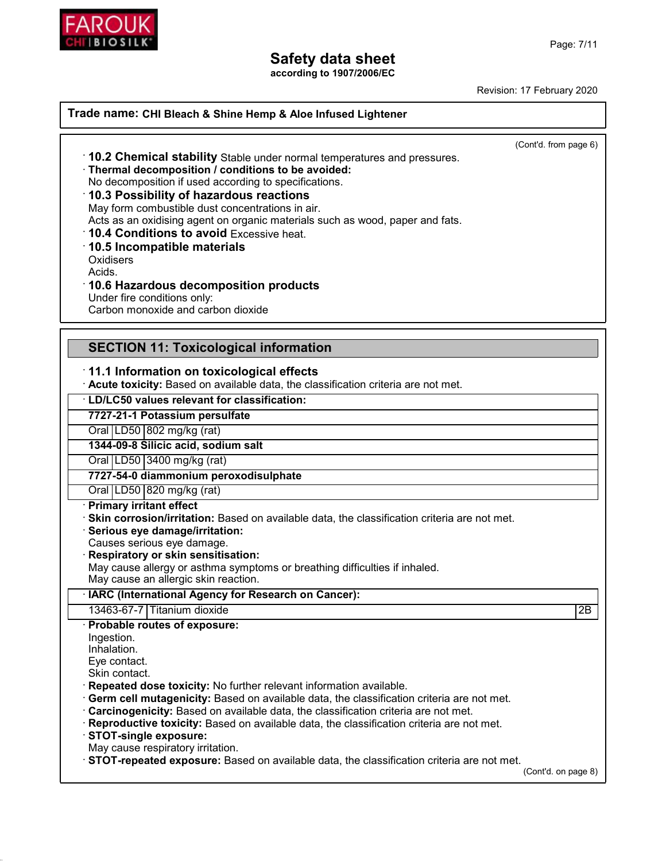

**according to 1907/2006/EC**

Revision: 17 February 2020

#### **Trade name: CHI Bleach & Shine Hemp & Aloe Infused Lightener**

(Cont'd. from page 6)

- · **10.2 Chemical stability** Stable under normal temperatures and pressures.
- · **Thermal decomposition / conditions to be avoided:**

No decomposition if used according to specifications.

### · **10.3 Possibility of hazardous reactions**

May form combustible dust concentrations in air.

Acts as an oxidising agent on organic materials such as wood, paper and fats.

· **10.4 Conditions to avoid** Excessive heat.

· **10.5 Incompatible materials**

**Oxidisers** 

Acids.

· **10.6 Hazardous decomposition products**

Under fire conditions only:

Carbon monoxide and carbon dioxide

## **SECTION 11: Toxicological information**

#### · **11.1 Information on toxicological effects**

· **Acute toxicity:** Based on available data, the classification criteria are not met.

### · **LD/LC50 values relevant for classification:**

### **7727-21-1 Potassium persulfate**

Oral  $LD50$  802 mg/kg (rat)

**1344-09-8 Silicic acid, sodium salt**

Oral LD50 3400 mg/kg (rat)

#### **7727-54-0 diammonium peroxodisulphate**

Oral LD50 820 mg/kg (rat)

#### · **Primary irritant effect**

· **Skin corrosion/irritation:** Based on available data, the classification criteria are not met.

· **Serious eye damage/irritation:**

Causes serious eye damage.

#### · **Respiratory or skin sensitisation:**

May cause allergy or asthma symptoms or breathing difficulties if inhaled.

May cause an allergic skin reaction.

#### · **IARC (International Agency for Research on Cancer):**

13463-67-7 Titanium dioxide 2B

· **Probable routes of exposure:** Ingestion.

Inhalation.

Eye contact.

Skin contact.

· **Repeated dose toxicity:** No further relevant information available.

- · **Germ cell mutagenicity:** Based on available data, the classification criteria are not met.
- · **Carcinogenicity:** Based on available data, the classification criteria are not met.

· **Reproductive toxicity:** Based on available data, the classification criteria are not met.

· **STOT-single exposure:**

May cause respiratory irritation.

· **STOT-repeated exposure:** Based on available data, the classification criteria are not met.

(Cont'd. on page 8)

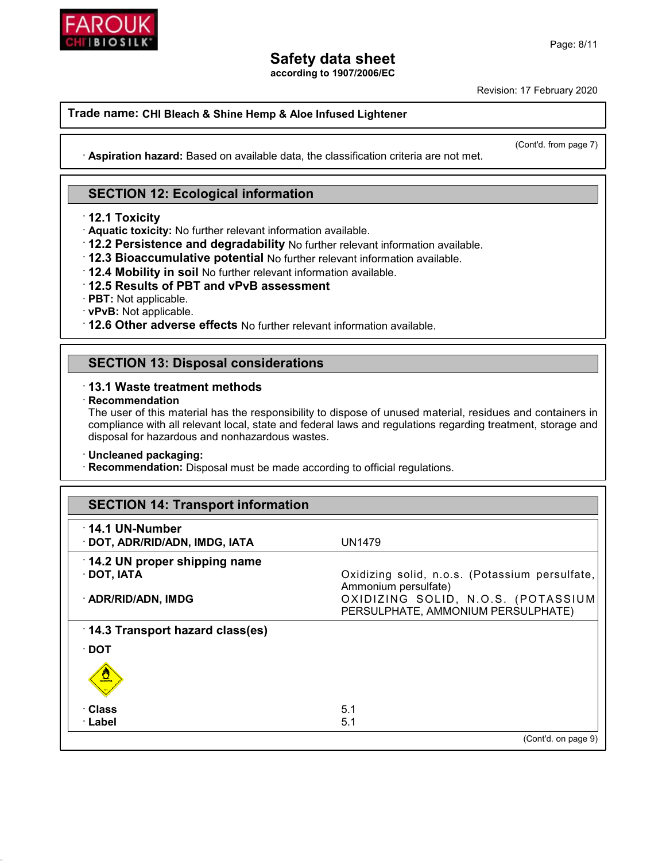

**according to 1907/2006/EC**

Revision: 17 February 2020

### **Trade name: CHI Bleach & Shine Hemp & Aloe Infused Lightener**

(Cont'd. from page 7)

· **Aspiration hazard:** Based on available data, the classification criteria are not met.

## **SECTION 12: Ecological information**

· **12.1 Toxicity**

· **Aquatic toxicity:** No further relevant information available.

- · **12.2 Persistence and degradability** No further relevant information available.
- · **12.3 Bioaccumulative potential** No further relevant information available.
- · **12.4 Mobility in soil** No further relevant information available.

### · **12.5 Results of PBT and vPvB assessment**

- · **PBT:** Not applicable.
- · **vPvB:** Not applicable.
- · **12.6 Other adverse effects** No further relevant information available.

## **SECTION 13: Disposal considerations**

### · **13.1 Waste treatment methods**

#### · **Recommendation**

The user of this material has the responsibility to dispose of unused material, residues and containers in compliance with all relevant local, state and federal laws and regulations regarding treatment, storage and disposal for hazardous and nonhazardous wastes.

#### · **Uncleaned packaging:**

· **Recommendation:** Disposal must be made according to official regulations.

| <b>SECTION 14: Transport information</b>                 |                                                                          |
|----------------------------------------------------------|--------------------------------------------------------------------------|
| $\cdot$ 14.1 UN-Number<br>· DOT, ADR/RID/ADN, IMDG, IATA | <b>UN1479</b>                                                            |
| 14.2 UN proper shipping name<br>$\cdot$ DOT, IATA        | Oxidizing solid, n.o.s. (Potassium persulfate,<br>Ammonium persulfate)   |
| · ADR/RID/ADN, IMDG                                      | OXIDIZING SOLID, N.O.S. (POTASSIUM<br>PERSULPHATE, AMMONIUM PERSULPHATE) |
| 14.3 Transport hazard class(es)                          |                                                                          |
| $\cdot$ DOT                                              |                                                                          |
| $\frac{1}{\sqrt{2}}$                                     |                                                                          |
| <b>· Class</b>                                           | 5.1                                                                      |
| · Label                                                  | 5.1                                                                      |
|                                                          | (Cont'd. on page 9)                                                      |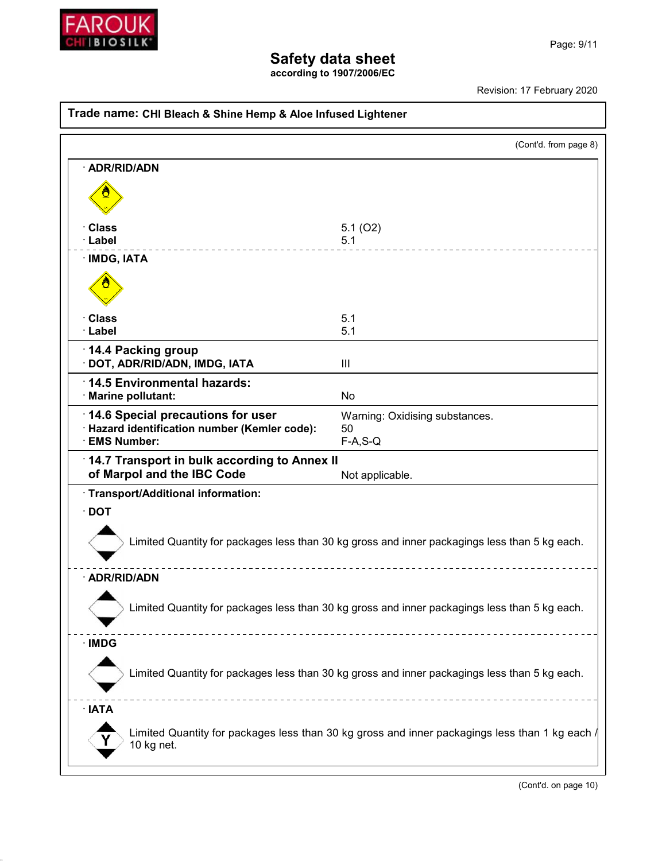

**according to 1907/2006/EC**

Revision: 17 February 2020

| Trade name: CHI Bleach & Shine Hemp & Aloe Infused Lightener                                                 |                                                                                               |  |  |
|--------------------------------------------------------------------------------------------------------------|-----------------------------------------------------------------------------------------------|--|--|
|                                                                                                              | (Cont'd. from page 8)                                                                         |  |  |
| · ADR/RID/ADN                                                                                                |                                                                                               |  |  |
|                                                                                                              |                                                                                               |  |  |
| · Class<br>· Label                                                                                           | 5.1(02)<br>5.1                                                                                |  |  |
| · IMDG, IATA                                                                                                 |                                                                                               |  |  |
|                                                                                                              |                                                                                               |  |  |
| · Class<br>· Label                                                                                           | 5.1<br>5.1                                                                                    |  |  |
| 14.4 Packing group<br>· DOT, ADR/RID/ADN, IMDG, IATA                                                         | Ш                                                                                             |  |  |
| 14.5 Environmental hazards:<br>· Marine pollutant:                                                           | <b>No</b>                                                                                     |  |  |
| 14.6 Special precautions for user<br>· Hazard identification number (Kemler code):<br><b>EMS Number:</b>     | Warning: Oxidising substances.<br>50<br>$F-A, S-Q$                                            |  |  |
| 14.7 Transport in bulk according to Annex II<br>of Marpol and the IBC Code<br>Not applicable.                |                                                                                               |  |  |
| · Transport/Additional information:                                                                          |                                                                                               |  |  |
| $\cdot$ DOT<br>Limited Quantity for packages less than 30 kg gross and inner packagings less than 5 kg each. |                                                                                               |  |  |
| · ADR/RID/ADN                                                                                                |                                                                                               |  |  |
| Limited Quantity for packages less than 30 kg gross and inner packagings less than 5 kg each.                |                                                                                               |  |  |
| $\cdot$ IMDG                                                                                                 |                                                                                               |  |  |
|                                                                                                              | Limited Quantity for packages less than 30 kg gross and inner packagings less than 5 kg each. |  |  |
| $\cdot$ IATA                                                                                                 |                                                                                               |  |  |
| Limited Quantity for packages less than 30 kg gross and inner packagings less than 1 kg each /<br>10 kg net. |                                                                                               |  |  |
|                                                                                                              |                                                                                               |  |  |

(Cont'd. on page 10)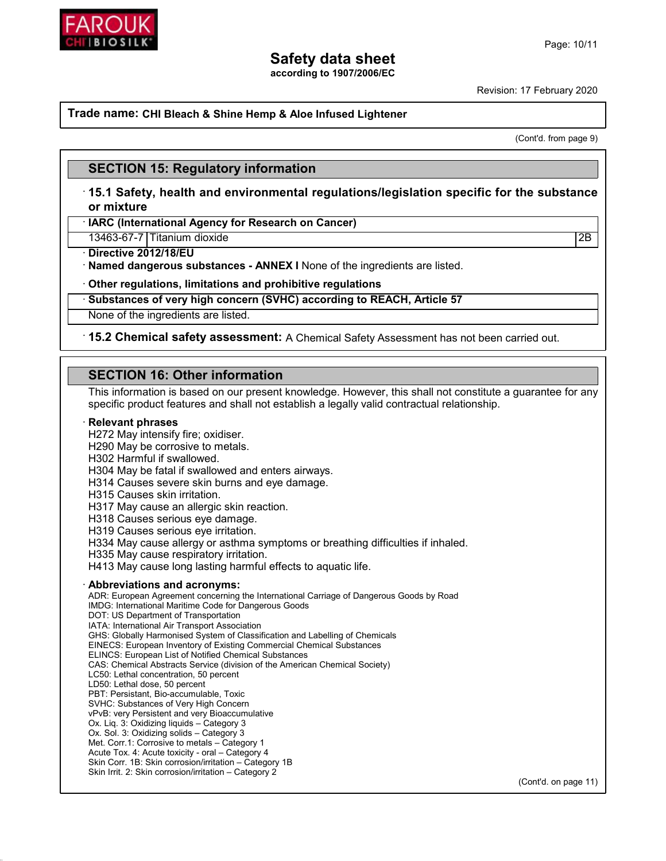

**according to 1907/2006/EC**

Revision: 17 February 2020

#### **Trade name: CHI Bleach & Shine Hemp & Aloe Infused Lightener**

(Cont'd. from page 9)

### **SECTION 15: Regulatory information**

· **15.1 Safety, health and environmental regulations/legislation specific for the substance or mixture**

· **IARC (International Agency for Research on Cancer)**

13463-67-7 Titanium dioxide 2B

· **Directive 2012/18/EU**

· **Named dangerous substances - ANNEX I** None of the ingredients are listed.

· **Other regulations, limitations and prohibitive regulations**

#### · **Substances of very high concern (SVHC) according to REACH, Article 57**

None of the ingredients are listed.

#### · **15.2 Chemical safety assessment:** A Chemical Safety Assessment has not been carried out.

### **SECTION 16: Other information**

This information is based on our present knowledge. However, this shall not constitute a guarantee for any specific product features and shall not establish a legally valid contractual relationship.

#### · **Relevant phrases**

H272 May intensify fire; oxidiser.

H290 May be corrosive to metals.

H302 Harmful if swallowed.

H304 May be fatal if swallowed and enters airways.

H314 Causes severe skin burns and eye damage.

H315 Causes skin irritation.

H317 May cause an allergic skin reaction.

H318 Causes serious eye damage.

H319 Causes serious eye irritation.

H334 May cause allergy or asthma symptoms or breathing difficulties if inhaled.

H335 May cause respiratory irritation.

H413 May cause long lasting harmful effects to aquatic life.

#### · **Abbreviations and acronyms:**

ADR: European Agreement concerning the International Carriage of Dangerous Goods by Road IMDG: International Maritime Code for Dangerous Goods DOT: US Department of Transportation IATA: International Air Transport Association GHS: Globally Harmonised System of Classification and Labelling of Chemicals EINECS: European Inventory of Existing Commercial Chemical Substances ELINCS: European List of Notified Chemical Substances CAS: Chemical Abstracts Service (division of the American Chemical Society) LC50: Lethal concentration, 50 percent LD50: Lethal dose, 50 percent PBT: Persistant, Bio-accumulable, Toxic SVHC: Substances of Very High Concern vPvB: very Persistent and very Bioaccumulative Ox. Liq. 3: Oxidizing liquids – Category 3 Ox. Sol. 3: Oxidizing solids – Category 3 Met. Corr.1: Corrosive to metals – Category 1 Acute Tox. 4: Acute toxicity - oral – Category 4 Skin Corr. 1B: Skin corrosion/irritation – Category 1B Skin Irrit. 2: Skin corrosion/irritation – Category 2

(Cont'd. on page 11)